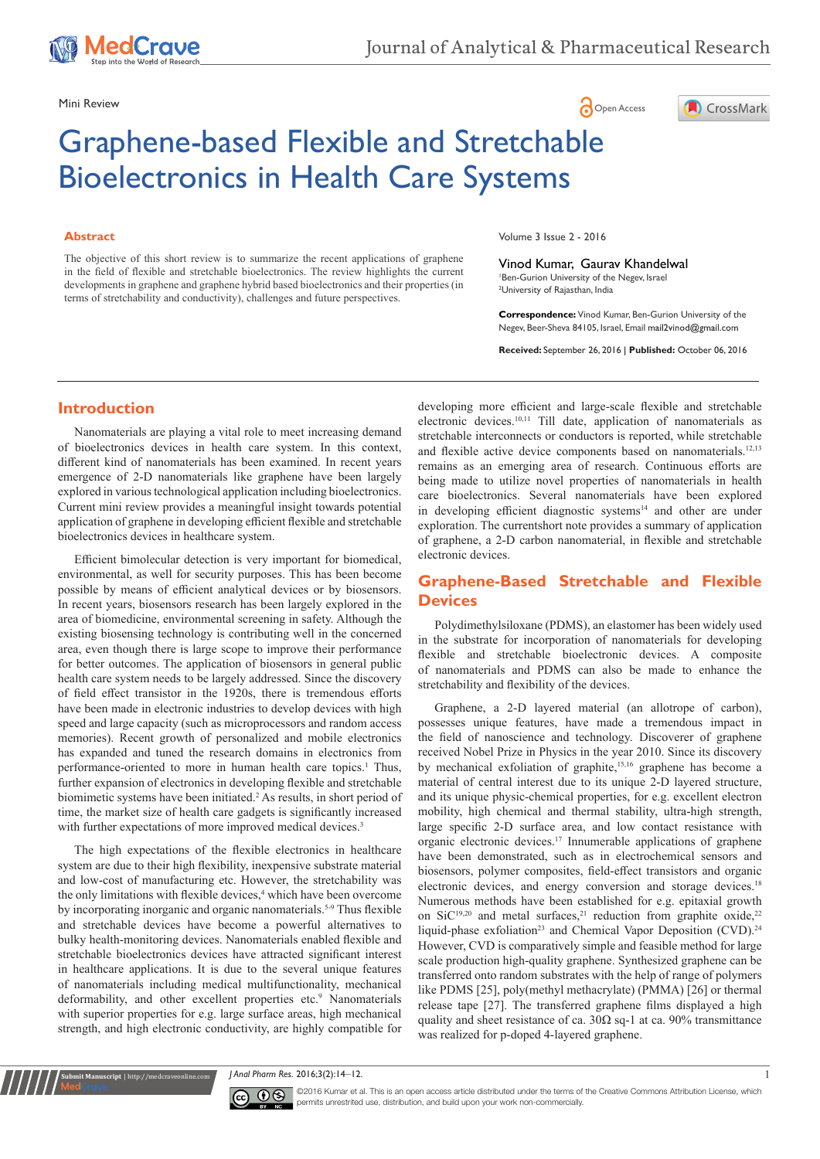

## Mini Review **Open Access**



# Graphene-based Flexible and Stretchable Bioelectronics in Health Care Systems

#### **Abstract**

The objective of this short review is to summarize the recent applications of graphene in the field of flexible and stretchable bioelectronics. The review highlights the current developments in graphene and graphene hybrid based bioelectronics and their properties (in terms of stretchability and conductivity), challenges and future perspectives.

Volume 3 Issue 2 - 2016

Vinod Kumar, Gaurav Khandelwal 1 Ben-Gurion University of the Negev, Israel 2 University of Rajasthan, India

**Correspondence:** Vinod Kumar, Ben-Gurion University of the Negev, Beer-Sheva 84105, Israel, Email mail2vinod@gmail.com

**Received:** September 26, 2016 | **Published:** October 06, 2016

## **Introduction**

Nanomaterials are playing a vital role to meet increasing demand of bioelectronics devices in health care system. In this context, different kind of nanomaterials has been examined. In recent years emergence of 2-D nanomaterials like graphene have been largely explored in various technological application including bioelectronics. Current mini review provides a meaningful insight towards potential application of graphene in developing efficient flexible and stretchable bioelectronics devices in healthcare system.

Efficient bimolecular detection is very important for biomedical, environmental, as well for security purposes. This has been become possible by means of efficient analytical devices or by biosensors. In recent years, biosensors research has been largely explored in the area of biomedicine, environmental screening in safety. Although the existing biosensing technology is contributing well in the concerned area, even though there is large scope to improve their performance for better outcomes. The application of biosensors in general public health care system needs to be largely addressed. Since the discovery of field effect transistor in the 1920s, there is tremendous efforts have been made in electronic industries to develop devices with high speed and large capacity (such as microprocessors and random access memories). Recent growth of personalized and mobile electronics has expanded and tuned the research domains in electronics from performance-oriented to more in human health care topics.<sup>1</sup> Thus, further expansion of electronics in developing flexible and stretchable biomimetic systems have been initiated.<sup>2</sup> As results, in short period of time, the market size of health care gadgets is significantly increased with further expectations of more improved medical devices.<sup>3</sup>

The high expectations of the flexible electronics in healthcare system are due to their high flexibility, inexpensive substrate material and low-cost of manufacturing etc. However, the stretchability was the only limitations with flexible devices,<sup>4</sup> which have been overcome by incorporating inorganic and organic nanomaterials.<sup>5-9</sup> Thus flexible and stretchable devices have become a powerful alternatives to bulky health-monitoring devices. Nanomaterials enabled flexible and stretchable bioelectronics devices have attracted significant interest in healthcare applications. It is due to the several unique features of nanomaterials including medical multifunctionality, mechanical deformability, and other excellent properties etc.<sup>9</sup> Nanomaterials with superior properties for e.g. large surface areas, high mechanical strength, and high electronic conductivity, are highly compatible for

**it Manuscript** | http://medcraveonline.c

developing more efficient and large-scale flexible and stretchable electronic devices.10,11 Till date, application of nanomaterials as stretchable interconnects or conductors is reported, while stretchable and flexible active device components based on nanomaterials.<sup>12,13</sup> remains as an emerging area of research. Continuous efforts are being made to utilize novel properties of nanomaterials in health care bioelectronics. Several nanomaterials have been explored in developing efficient diagnostic systems<sup>14</sup> and other are under exploration. The currentshort note provides a summary of application of graphene, a 2-D carbon nanomaterial, in flexible and stretchable electronic devices.

## **Graphene-Based Stretchable and Flexible Devices**

Polydimethylsiloxane (PDMS), an elastomer has been widely used in the substrate for incorporation of nanomaterials for developing flexible and stretchable bioelectronic devices. A composite of nanomaterials and PDMS can also be made to enhance the stretchability and flexibility of the devices.

Graphene, a 2-D layered material (an allotrope of carbon), possesses unique features, have made a tremendous impact in the field of nanoscience and technology. Discoverer of graphene received Nobel Prize in Physics in the year 2010. Since its discovery by mechanical exfoliation of graphite,<sup>15,16</sup> graphene has become a material of central interest due to its unique 2-D layered structure, and its unique physic-chemical properties, for e.g. excellent electron mobility, high chemical and thermal stability, ultra-high strength, large specific 2-D surface area, and low contact resistance with organic electronic devices.<sup>17</sup> Innumerable applications of graphene have been demonstrated, such as in electrochemical sensors and biosensors, polymer composites, field-effect transistors and organic electronic devices, and energy conversion and storage devices.<sup>18</sup> Numerous methods have been established for e.g. epitaxial growth on SiC<sup>19,20</sup> and metal surfaces,<sup>21</sup> reduction from graphite oxide,<sup>22</sup> liquid-phase exfoliation<sup>23</sup> and Chemical Vapor Deposition (CVD).<sup>24</sup> However, CVD is comparatively simple and feasible method for large scale production high-quality graphene. Synthesized graphene can be transferred onto random substrates with the help of range of polymers like PDMS [25], poly(methyl methacrylate) (PMMA) [26] or thermal release tape [27]. The transferred graphene films displayed a high quality and sheet resistance of ca.  $30\Omega$  sq-1 at ca.  $90\%$  transmittance was realized for p-doped 4-layered graphene.

*J* Anal Pharm Res. 2016;3(2):14–12. 1



©2016 Kumar et al. This is an open access article distributed under the terms of the Creative Commons Attribution License, which permits unrestrited use, distribution, and build upon your work non-commercially.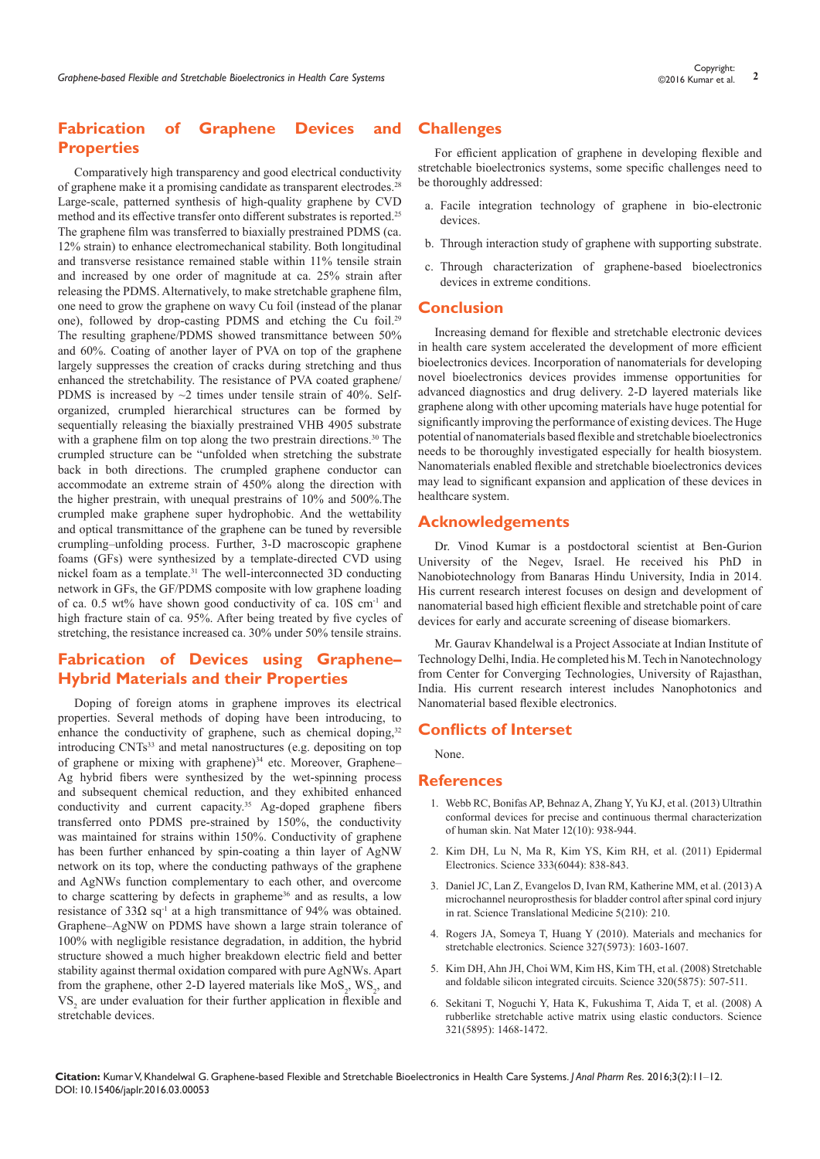# **Fabrication of Graphene Devices and Properties**

Comparatively high transparency and good electrical conductivity of graphene make it a promising candidate as transparent electrodes.<sup>28</sup> Large-scale, patterned synthesis of high-quality graphene by CVD method and its effective transfer onto different substrates is reported.<sup>25</sup> The graphene film was transferred to biaxially prestrained PDMS (ca. 12% strain) to enhance electromechanical stability. Both longitudinal and transverse resistance remained stable within 11% tensile strain and increased by one order of magnitude at ca. 25% strain after releasing the PDMS. Alternatively, to make stretchable graphene film, one need to grow the graphene on wavy Cu foil (instead of the planar one), followed by drop-casting PDMS and etching the Cu foil.<sup>29</sup> The resulting graphene/PDMS showed transmittance between 50% and 60%. Coating of another layer of PVA on top of the graphene largely suppresses the creation of cracks during stretching and thus enhanced the stretchability. The resistance of PVA coated graphene/ PDMS is increased by  $\sim$ 2 times under tensile strain of 40%. Selforganized, crumpled hierarchical structures can be formed by sequentially releasing the biaxially prestrained VHB 4905 substrate with a graphene film on top along the two prestrain directions.<sup>30</sup> The crumpled structure can be "unfolded when stretching the substrate back in both directions. The crumpled graphene conductor can accommodate an extreme strain of 450% along the direction with the higher prestrain, with unequal prestrains of 10% and 500%.The crumpled make graphene super hydrophobic. And the wettability and optical transmittance of the graphene can be tuned by reversible crumpling–unfolding process. Further, 3-D macroscopic graphene foams (GFs) were synthesized by a template-directed CVD using nickel foam as a template.31 The well-interconnected 3D conducting network in GFs, the GF/PDMS composite with low graphene loading of ca. 0.5 wt% have shown good conductivity of ca. 10S cm-1 and high fracture stain of ca. 95%. After being treated by five cycles of stretching, the resistance increased ca. 30% under 50% tensile strains.

# **Fabrication of Devices using Graphene– Hybrid Materials and their Properties**

Doping of foreign atoms in graphene improves its electrical properties. Several methods of doping have been introducing, to enhance the conductivity of graphene, such as chemical doping,<sup>32</sup> introducing CNTs<sup>33</sup> and metal nanostructures (e.g. depositing on top of graphene or mixing with graphene)<sup>34</sup> etc. Moreover, Graphene-Ag hybrid fibers were synthesized by the wet-spinning process and subsequent chemical reduction, and they exhibited enhanced conductivity and current capacity.35 Ag-doped graphene fibers transferred onto PDMS pre-strained by 150%, the conductivity was maintained for strains within 150%. Conductivity of graphene has been further enhanced by spin-coating a thin layer of AgNW network on its top, where the conducting pathways of the graphene and AgNWs function complementary to each other, and overcome to charge scattering by defects in grapheme<sup>36</sup> and as results, a low resistance of 33 $\Omega$  sq<sup>-1</sup> at a high transmittance of 94% was obtained. Graphene–AgNW on PDMS have shown a large strain tolerance of 100% with negligible resistance degradation, in addition, the hybrid structure showed a much higher breakdown electric field and better stability against thermal oxidation compared with pure AgNWs. Apart from the graphene, other 2-D layered materials like  $MoS_2$ ,  $WS_2$ , and VS<sub>2</sub> are under evaluation for their further application in flexible and stretchable devices.

## **Challenges**

For efficient application of graphene in developing flexible and stretchable bioelectronics systems, some specific challenges need to be thoroughly addressed:

- a. Facile integration technology of graphene in bio-electronic devices.
- b. Through interaction study of graphene with supporting substrate.
- c. Through characterization of graphene-based bioelectronics devices in extreme conditions.

## **Conclusion**

Increasing demand for flexible and stretchable electronic devices in health care system accelerated the development of more efficient bioelectronics devices. Incorporation of nanomaterials for developing novel bioelectronics devices provides immense opportunities for advanced diagnostics and drug delivery. 2-D layered materials like graphene along with other upcoming materials have huge potential for significantly improving the performance of existing devices. The Huge potential of nanomaterials based flexible and stretchable bioelectronics needs to be thoroughly investigated especially for health biosystem. Nanomaterials enabled flexible and stretchable bioelectronics devices may lead to significant expansion and application of these devices in healthcare system.

## **Acknowledgements**

Dr. Vinod Kumar is a postdoctoral scientist at Ben-Gurion University of the Negev, Israel. He received his PhD in Nanobiotechnology from Banaras Hindu University, India in 2014. His current research interest focuses on design and development of nanomaterial based high efficient flexible and stretchable point of care devices for early and accurate screening of disease biomarkers.

Mr. Gaurav Khandelwal is a Project Associate at Indian Institute of Technology Delhi, India. He completed his M. Tech in Nanotechnology from Center for Converging Technologies, University of Rajasthan, India. His current research interest includes Nanophotonics and Nanomaterial based flexible electronics.

## **Conflicts of Interset**

None.

## **References**

- 1. [Webb RC, Bonifas AP, Behnaz A, Zhang Y, Yu KJ, et al. \(2013\) Ultrathin](https://www.ncbi.nlm.nih.gov/pubmed/24037122/)  [conformal devices for precise and continuous thermal characterization](https://www.ncbi.nlm.nih.gov/pubmed/24037122/)  [of human skin. Nat Mater 12\(10\): 938-944.](https://www.ncbi.nlm.nih.gov/pubmed/24037122/)
- 2. [Kim DH, Lu N, Ma R, Kim YS, Kim RH, et al. \(2011\) Epidermal](https://www.ncbi.nlm.nih.gov/pubmed/21836009)  [Electronics. Science 333\(6044\): 838-843.](https://www.ncbi.nlm.nih.gov/pubmed/21836009)
- 3. [Daniel JC, Lan Z, Evangelos D, Ivan RM, Katherine MM, et al. \(2013\) A](http://stm.sciencemag.org/content/5/210/210ra155)  [microchannel neuroprosthesis for bladder control after spinal cord injury](http://stm.sciencemag.org/content/5/210/210ra155)  [in rat. Science Translational Medicine 5\(210\): 210.](http://stm.sciencemag.org/content/5/210/210ra155)
- 4. [Rogers JA, Someya T, Huang Y \(2010\). Materials and mechanics for](https://www.ncbi.nlm.nih.gov/pubmed/20339064)  [stretchable electronics. Science 327\(5973\): 1603-1607.](https://www.ncbi.nlm.nih.gov/pubmed/20339064)
- 5. [Kim DH, Ahn JH, Choi WM, Kim HS, Kim TH, et al. \(2008\) Stretchable](https://www.ncbi.nlm.nih.gov/pubmed/18369106)  [and foldable silicon integrated circuits. Science 320\(5875\): 507-511.](https://www.ncbi.nlm.nih.gov/pubmed/18369106)
- 6. [Sekitani T, Noguchi Y, Hata K, Fukushima T, Aida T, et al. \(2008\) A](https://www.ncbi.nlm.nih.gov/pubmed/18687922)  [rubberlike stretchable active matrix using elastic conductors. Science](https://www.ncbi.nlm.nih.gov/pubmed/18687922)  [321\(5895\): 1468-1472.](https://www.ncbi.nlm.nih.gov/pubmed/18687922)